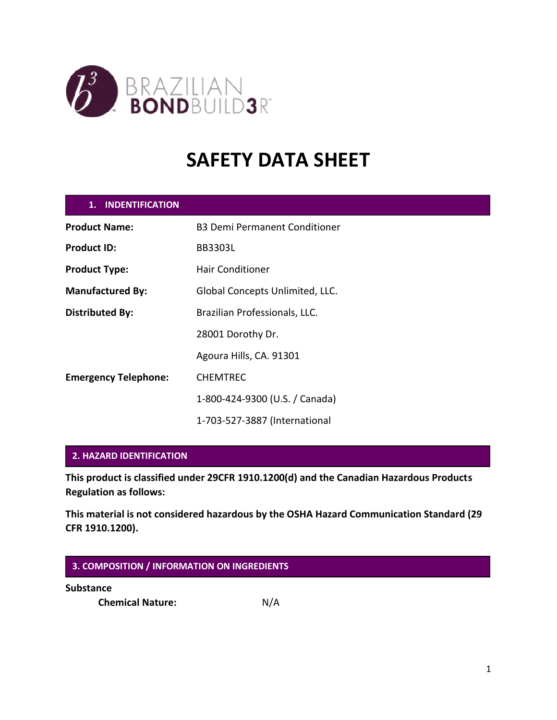

# **SAFETY DATA SHEET**

| 1. INDENTIFICATION          |                                      |
|-----------------------------|--------------------------------------|
| <b>Product Name:</b>        | <b>B3 Demi Permanent Conditioner</b> |
| <b>Product ID:</b>          | <b>BB3303L</b>                       |
| <b>Product Type:</b>        | <b>Hair Conditioner</b>              |
| <b>Manufactured By:</b>     | Global Concepts Unlimited, LLC.      |
| <b>Distributed By:</b>      | Brazilian Professionals, LLC.        |
|                             | 28001 Dorothy Dr.                    |
|                             | Agoura Hills, CA. 91301              |
| <b>Emergency Telephone:</b> | <b>CHEMTREC</b>                      |
|                             | 1-800-424-9300 (U.S. / Canada)       |
|                             | 1-703-527-3887 (International        |

## **2. HAZARD IDENTIFICATION**

**This product is classified under 29CFR 1910.1200(d) and the Canadian Hazardous Products Regulation as follows:**

**This material is not considered hazardous by the OSHA Hazard Communication Standard (29 CFR 1910.1200).**

## **3. COMPOSITION / INFORMATION ON INGREDIENTS**

**Substance**

**Chemical Nature:** N/A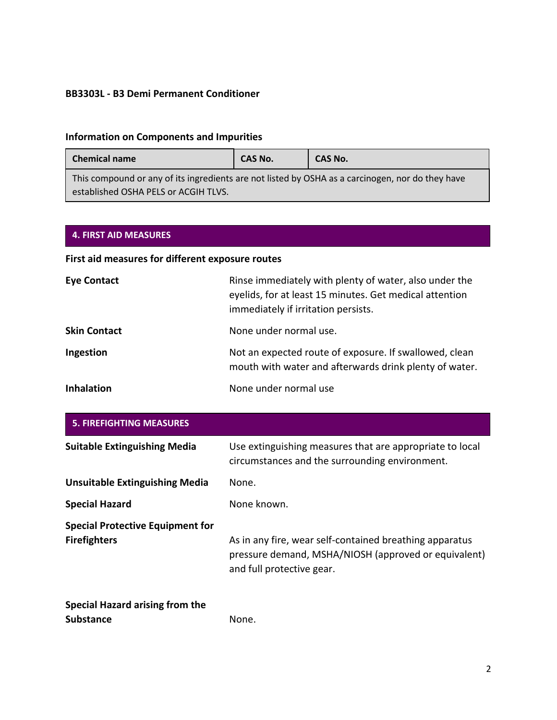# **Information on Components and Impurities**

| <b>Chemical name</b>                                                                                                                     | <b>CAS No.</b> | CAS No. |
|------------------------------------------------------------------------------------------------------------------------------------------|----------------|---------|
| This compound or any of its ingredients are not listed by OSHA as a carcinogen, nor do they have<br>established OSHA PELS or ACGIH TLVS. |                |         |

## **4. FIRST AID MEASURES**

# **First aid measures for different exposure routes**

| <b>Eye Contact</b>  | Rinse immediately with plenty of water, also under the<br>eyelids, for at least 15 minutes. Get medical attention<br>immediately if irritation persists. |
|---------------------|----------------------------------------------------------------------------------------------------------------------------------------------------------|
| <b>Skin Contact</b> | None under normal use.                                                                                                                                   |
| Ingestion           | Not an expected route of exposure. If swallowed, clean<br>mouth with water and afterwards drink plenty of water.                                         |
| <b>Inhalation</b>   | None under normal use                                                                                                                                    |

| <b>5. FIREFIGHTING MEASURES</b>                                |                                                                                                                                              |
|----------------------------------------------------------------|----------------------------------------------------------------------------------------------------------------------------------------------|
| <b>Suitable Extinguishing Media</b>                            | Use extinguishing measures that are appropriate to local<br>circumstances and the surrounding environment.                                   |
| <b>Unsuitable Extinguishing Media</b>                          | None.                                                                                                                                        |
| <b>Special Hazard</b>                                          | None known.                                                                                                                                  |
| <b>Special Protective Equipment for</b><br><b>Firefighters</b> | As in any fire, wear self-contained breathing apparatus<br>pressure demand, MSHA/NIOSH (approved or equivalent)<br>and full protective gear. |

| Special Hazard arising from the |  |
|---------------------------------|--|
| <b>Substance</b>                |  |

None.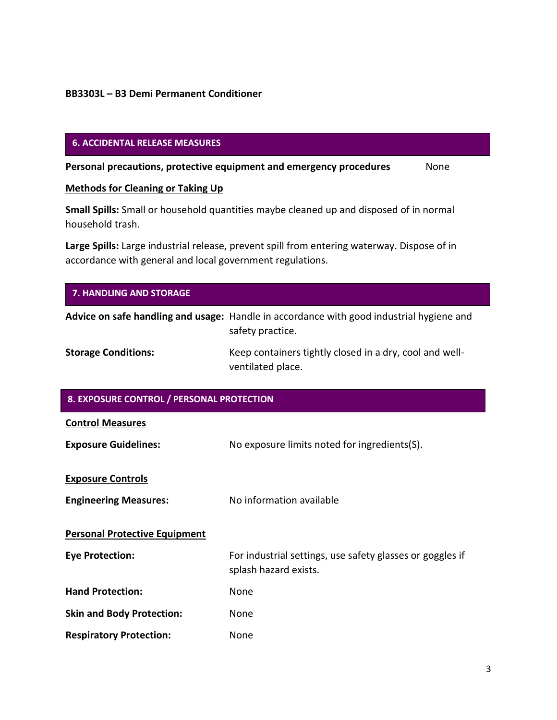## **6. ACCIDENTAL RELEASE MEASURES**

**Personal precautions, protective equipment and emergency procedures** None

## **Methods for Cleaning or Taking Up**

**Small Spills:** Small or household quantities maybe cleaned up and disposed of in normal household trash.

**Large Spills:** Large industrial release, prevent spill from entering waterway. Dispose of in accordance with general and local government regulations.

| 7. HANDLING AND STORAGE                   |                                                                                                              |
|-------------------------------------------|--------------------------------------------------------------------------------------------------------------|
|                                           | Advice on safe handling and usage: Handle in accordance with good industrial hygiene and<br>safety practice. |
| <b>Storage Conditions:</b>                | Keep containers tightly closed in a dry, cool and well-<br>ventilated place.                                 |
| 8. EXPOSURE CONTROL / PERSONAL PROTECTION |                                                                                                              |
| <b>Control Measures</b>                   |                                                                                                              |
| <b>Exposure Guidelines:</b>               | No exposure limits noted for ingredients(S).                                                                 |
| <b>Exposure Controls</b>                  |                                                                                                              |
| <b>Engineering Measures:</b>              | No information available                                                                                     |
| <b>Personal Protective Equipment</b>      |                                                                                                              |
| <b>Eye Protection:</b>                    | For industrial settings, use safety glasses or goggles if<br>splash hazard exists.                           |
| <b>Hand Protection:</b>                   | None                                                                                                         |
| <b>Skin and Body Protection:</b>          | None                                                                                                         |
| <b>Respiratory Protection:</b>            | None                                                                                                         |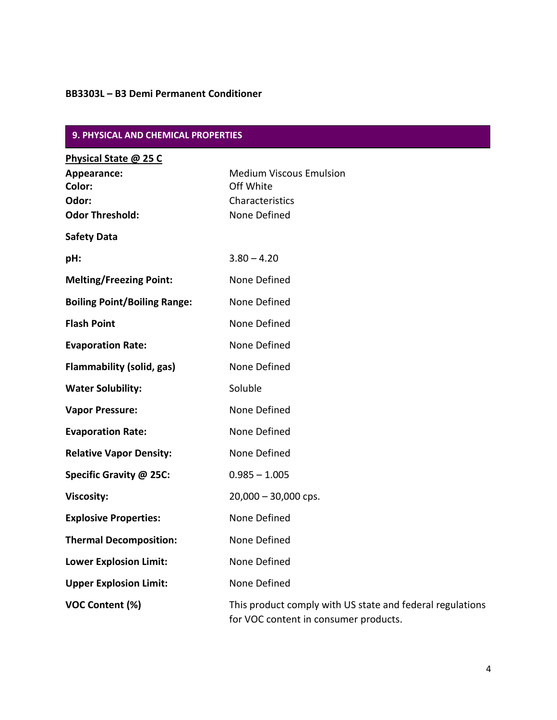| 9. PHYSICAL AND CHEMICAL PROPERTIES                                               |                                                                                                    |
|-----------------------------------------------------------------------------------|----------------------------------------------------------------------------------------------------|
| Physical State @ 25 C<br>Appearance:<br>Color:<br>Odor:<br><b>Odor Threshold:</b> | <b>Medium Viscous Emulsion</b><br>Off White<br>Characteristics<br>None Defined                     |
| <b>Safety Data</b>                                                                |                                                                                                    |
| pH:                                                                               | $3.80 - 4.20$                                                                                      |
| <b>Melting/Freezing Point:</b>                                                    | None Defined                                                                                       |
| <b>Boiling Point/Boiling Range:</b>                                               | None Defined                                                                                       |
| <b>Flash Point</b>                                                                | None Defined                                                                                       |
| <b>Evaporation Rate:</b>                                                          | None Defined                                                                                       |
| Flammability (solid, gas)                                                         | None Defined                                                                                       |
| <b>Water Solubility:</b>                                                          | Soluble                                                                                            |
| <b>Vapor Pressure:</b>                                                            | None Defined                                                                                       |
| <b>Evaporation Rate:</b>                                                          | None Defined                                                                                       |
| <b>Relative Vapor Density:</b>                                                    | None Defined                                                                                       |
| Specific Gravity @ 25C:                                                           | $0.985 - 1.005$                                                                                    |
| <b>Viscosity:</b>                                                                 | $20,000 - 30,000$ cps.                                                                             |
| <b>Explosive Properties:</b>                                                      | None Defined                                                                                       |
| <b>Thermal Decomposition:</b>                                                     | None Defined                                                                                       |
| <b>Lower Explosion Limit:</b>                                                     | None Defined                                                                                       |
| <b>Upper Explosion Limit:</b>                                                     | None Defined                                                                                       |
| VOC Content (%)                                                                   | This product comply with US state and federal regulations<br>for VOC content in consumer products. |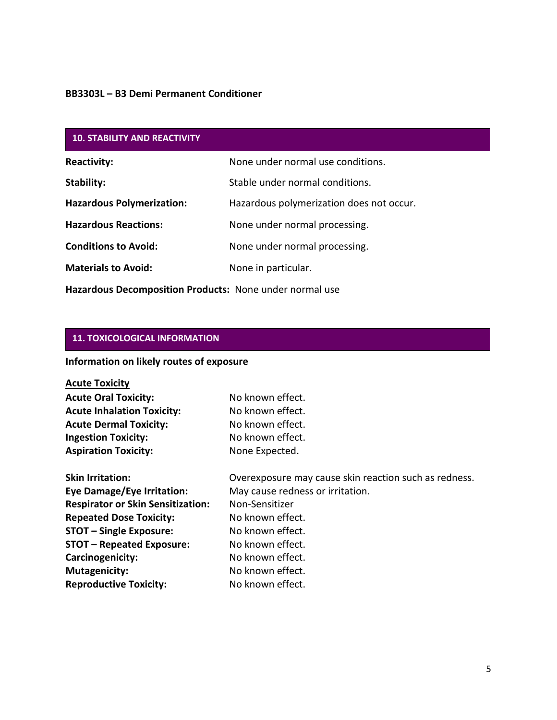| <b>10. STABILITY AND REACTIVITY</b> |                                          |
|-------------------------------------|------------------------------------------|
| <b>Reactivity:</b>                  | None under normal use conditions.        |
| Stability:                          | Stable under normal conditions.          |
| <b>Hazardous Polymerization:</b>    | Hazardous polymerization does not occur. |
| <b>Hazardous Reactions:</b>         | None under normal processing.            |
| <b>Conditions to Avoid:</b>         | None under normal processing.            |
| <b>Materials to Avoid:</b>          | None in particular.                      |
|                                     |                                          |

**Hazardous Decomposition Products:** None under normal use

# **11. TOXICOLOGICAL INFORMATION**

# **Information on likely routes of exposure**

# **Acute Toxicity**

| <b>Acute Oral Toxicity:</b>       | No known effect. |
|-----------------------------------|------------------|
| <b>Acute Inhalation Toxicity:</b> | No known effect. |
| <b>Acute Dermal Toxicity:</b>     | No known effect. |
| <b>Ingestion Toxicity:</b>        | No known effect. |
| <b>Aspiration Toxicity:</b>       | None Expected.   |

| <b>Skin Irritation:</b>                  | Overexposure may cause skin reaction such as redness. |
|------------------------------------------|-------------------------------------------------------|
| <b>Eye Damage/Eye Irritation:</b>        | May cause redness or irritation.                      |
| <b>Respirator or Skin Sensitization:</b> | Non-Sensitizer                                        |
| <b>Repeated Dose Toxicity:</b>           | No known effect.                                      |
| <b>STOT - Single Exposure:</b>           | No known effect.                                      |
| <b>STOT - Repeated Exposure:</b>         | No known effect.                                      |
| Carcinogenicity:                         | No known effect.                                      |
| <b>Mutagenicity:</b>                     | No known effect.                                      |
| <b>Reproductive Toxicity:</b>            | No known effect.                                      |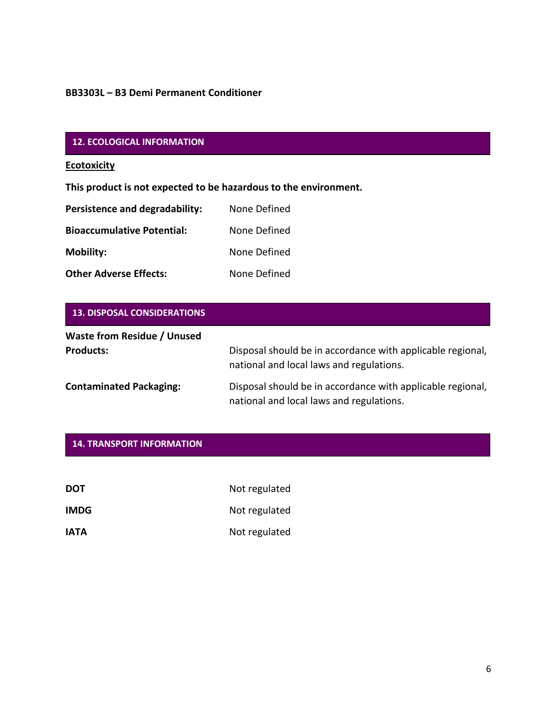# **12. ECOLOGICAL INFORMATION**

## **Ecotoxicity**

**This product is not expected to be hazardous to the environment.**

| Persistence and degradability:    | None Defined |
|-----------------------------------|--------------|
| <b>Bioaccumulative Potential:</b> | None Defined |
| <b>Mobility:</b>                  | None Defined |
| <b>Other Adverse Effects:</b>     | None Defined |

| <b>13. DISPOSAL CONSIDERATIONS</b>                     |                                                                                                        |
|--------------------------------------------------------|--------------------------------------------------------------------------------------------------------|
| <b>Waste from Residue / Unused</b><br><b>Products:</b> | Disposal should be in accordance with applicable regional,<br>national and local laws and regulations. |
| <b>Contaminated Packaging:</b>                         | Disposal should be in accordance with applicable regional,<br>national and local laws and regulations. |

| <b>DOT</b>  | Not regulated |
|-------------|---------------|
| <b>IMDG</b> | Not regulated |
| <b>IATA</b> | Not regulated |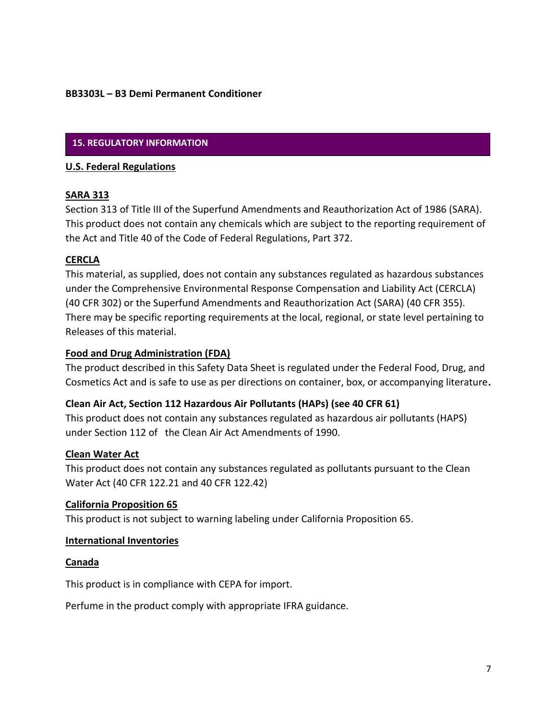## **15. REGULATORY INFORMATION**

#### **U.S. Federal Regulations**

## **SARA 313**

Section 313 of Title III of the Superfund Amendments and Reauthorization Act of 1986 (SARA). This product does not contain any chemicals which are subject to the reporting requirement of the Act and Title 40 of the Code of Federal Regulations, Part 372.

## **CERCLA**

This material, as supplied, does not contain any substances regulated as hazardous substances under the Comprehensive Environmental Response Compensation and Liability Act (CERCLA) (40 CFR 302) or the Superfund Amendments and Reauthorization Act (SARA) (40 CFR 355). There may be specific reporting requirements at the local, regional, or state level pertaining to Releases of this material.

## **Food and Drug Administration (FDA)**

The product described in this Safety Data Sheet is regulated under the Federal Food, Drug, and Cosmetics Act and is safe to use as per directions on container, box, or accompanying literature**.** 

## **Clean Air Act, Section 112 Hazardous Air Pollutants (HAPs) (see 40 CFR 61)**

This product does not contain any substances regulated as hazardous air pollutants (HAPS) under Section 112 of the Clean Air Act Amendments of 1990.

### **Clean Water Act**

This product does not contain any substances regulated as pollutants pursuant to the Clean Water Act (40 CFR 122.21 and 40 CFR 122.42)

## **California Proposition 65**

This product is not subject to warning labeling under California Proposition 65.

#### **International Inventories**

#### **Canada**

This product is in compliance with CEPA for import.

Perfume in the product comply with appropriate IFRA guidance.